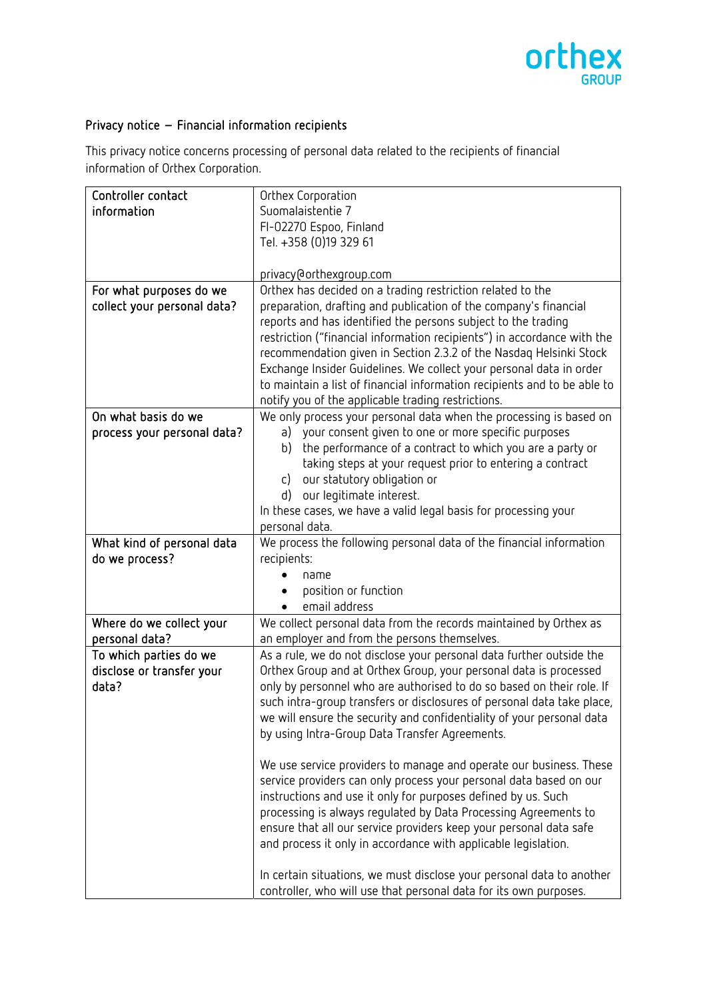

## Privacy notice – Financial information recipients

This privacy notice concerns processing of personal data related to the recipients of financial information of Orthex Corporation.

| Controller contact          | Orthex Corporation                                                                                       |
|-----------------------------|----------------------------------------------------------------------------------------------------------|
| information                 | Suomalaistentie 7                                                                                        |
|                             | FI-02270 Espoo, Finland                                                                                  |
|                             | Tel. +358 (0)19 329 61                                                                                   |
|                             |                                                                                                          |
|                             | privacy@orthexgroup.com                                                                                  |
| For what purposes do we     | Orthex has decided on a trading restriction related to the                                               |
| collect your personal data? | preparation, drafting and publication of the company's financial                                         |
|                             | reports and has identified the persons subject to the trading                                            |
|                             | restriction ("financial information recipients") in accordance with the                                  |
|                             | recommendation given in Section 2.3.2 of the Nasdaq Helsinki Stock                                       |
|                             | Exchange Insider Guidelines. We collect your personal data in order                                      |
|                             | to maintain a list of financial information recipients and to be able to                                 |
|                             | notify you of the applicable trading restrictions.                                                       |
| On what basis do we         | We only process your personal data when the processing is based on                                       |
| process your personal data? | your consent given to one or more specific purposes<br>a)                                                |
|                             | the performance of a contract to which you are a party or<br>b)                                          |
|                             | taking steps at your request prior to entering a contract<br>our statutory obligation or<br>$\mathsf{C}$ |
|                             | our legitimate interest.<br>d)                                                                           |
|                             | In these cases, we have a valid legal basis for processing your                                          |
|                             | personal data.                                                                                           |
| What kind of personal data  | We process the following personal data of the financial information                                      |
| do we process?              | recipients:                                                                                              |
|                             | name                                                                                                     |
|                             | position or function                                                                                     |
|                             | email address                                                                                            |
| Where do we collect your    | We collect personal data from the records maintained by Orthex as                                        |
| personal data?              | an employer and from the persons themselves.                                                             |
| To which parties do we      | As a rule, we do not disclose your personal data further outside the                                     |
| disclose or transfer your   | Orthex Group and at Orthex Group, your personal data is processed                                        |
| data?                       | only by personnel who are authorised to do so based on their role. If                                    |
|                             | such intra-group transfers or disclosures of personal data take place,                                   |
|                             | we will ensure the security and confidentiality of your personal data                                    |
|                             | by using Intra-Group Data Transfer Agreements.                                                           |
|                             | We use service providers to manage and operate our business. These                                       |
|                             | service providers can only process your personal data based on our                                       |
|                             | instructions and use it only for purposes defined by us. Such                                            |
|                             | processing is always regulated by Data Processing Agreements to                                          |
|                             | ensure that all our service providers keep your personal data safe                                       |
|                             | and process it only in accordance with applicable legislation.                                           |
|                             | In certain situations, we must disclose your personal data to another                                    |
|                             | controller, who will use that personal data for its own purposes.                                        |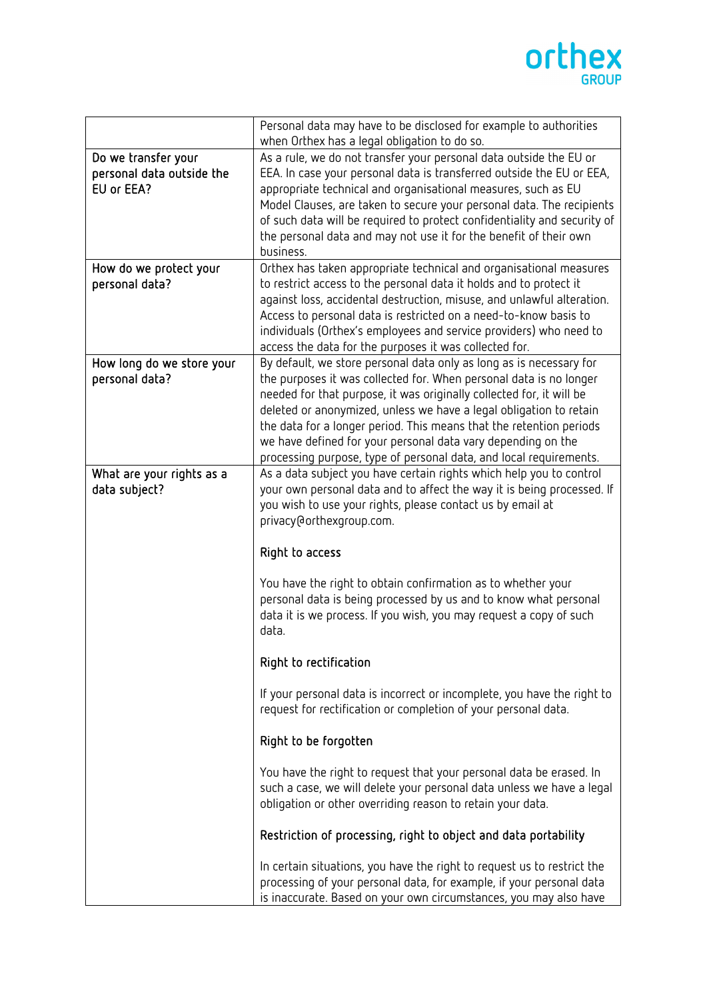

|                                                                | Personal data may have to be disclosed for example to authorities                                                                                                                                                                                                                                                                                                                                                                                                                                    |
|----------------------------------------------------------------|------------------------------------------------------------------------------------------------------------------------------------------------------------------------------------------------------------------------------------------------------------------------------------------------------------------------------------------------------------------------------------------------------------------------------------------------------------------------------------------------------|
|                                                                | when Orthex has a legal obligation to do so.                                                                                                                                                                                                                                                                                                                                                                                                                                                         |
| Do we transfer your<br>personal data outside the<br>EU or EEA? | As a rule, we do not transfer your personal data outside the EU or<br>EEA. In case your personal data is transferred outside the EU or EEA,<br>appropriate technical and organisational measures, such as EU<br>Model Clauses, are taken to secure your personal data. The recipients<br>of such data will be required to protect confidentiality and security of<br>the personal data and may not use it for the benefit of their own<br>business.                                                  |
| How do we protect your<br>personal data?                       | Orthex has taken appropriate technical and organisational measures<br>to restrict access to the personal data it holds and to protect it<br>against loss, accidental destruction, misuse, and unlawful alteration.<br>Access to personal data is restricted on a need-to-know basis to<br>individuals (Orthex's employees and service providers) who need to<br>access the data for the purposes it was collected for.                                                                               |
| How long do we store your<br>personal data?                    | By default, we store personal data only as long as is necessary for<br>the purposes it was collected for. When personal data is no longer<br>needed for that purpose, it was originally collected for, it will be<br>deleted or anonymized, unless we have a legal obligation to retain<br>the data for a longer period. This means that the retention periods<br>we have defined for your personal data vary depending on the<br>processing purpose, type of personal data, and local requirements. |
| What are your rights as a<br>data subject?                     | As a data subject you have certain rights which help you to control<br>your own personal data and to affect the way it is being processed. If<br>you wish to use your rights, please contact us by email at<br>privacy@orthexgroup.com.<br>Right to access                                                                                                                                                                                                                                           |
|                                                                | You have the right to obtain confirmation as to whether your<br>personal data is being processed by us and to know what personal<br>data it is we process. If you wish, you may request a copy of such<br>data.<br>Right to rectification                                                                                                                                                                                                                                                            |
|                                                                | If your personal data is incorrect or incomplete, you have the right to<br>request for rectification or completion of your personal data.                                                                                                                                                                                                                                                                                                                                                            |
|                                                                | Right to be forgotten                                                                                                                                                                                                                                                                                                                                                                                                                                                                                |
|                                                                | You have the right to request that your personal data be erased. In<br>such a case, we will delete your personal data unless we have a legal<br>obligation or other overriding reason to retain your data.                                                                                                                                                                                                                                                                                           |
|                                                                | Restriction of processing, right to object and data portability                                                                                                                                                                                                                                                                                                                                                                                                                                      |
|                                                                | In certain situations, you have the right to request us to restrict the<br>processing of your personal data, for example, if your personal data<br>is inaccurate. Based on your own circumstances, you may also have                                                                                                                                                                                                                                                                                 |